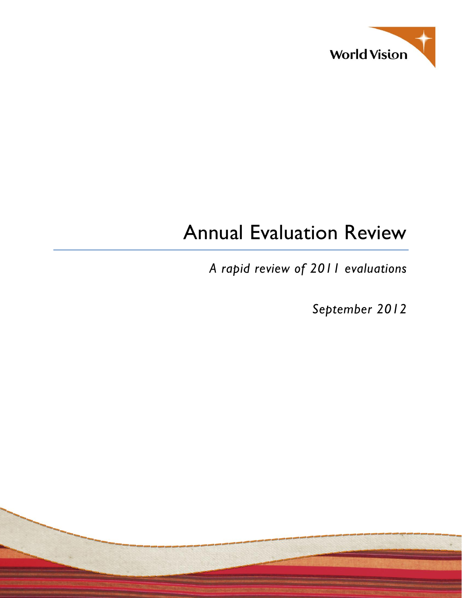

# Annual Evaluation Review

*A rapid review of 2011 evaluations*

*September 2012*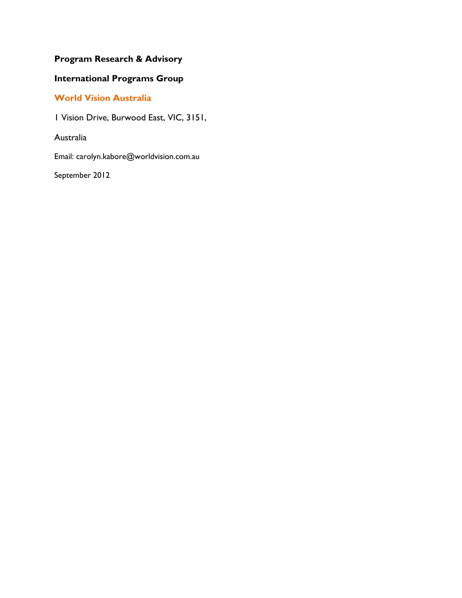## **Program Research & Advisory**

## **International Programs Group**

## **World Vision Australia**

1 Vision Drive, Burwood East, VIC, 3151,

Australia

Email: carolyn.kabore@worldvision.com.au

September 2012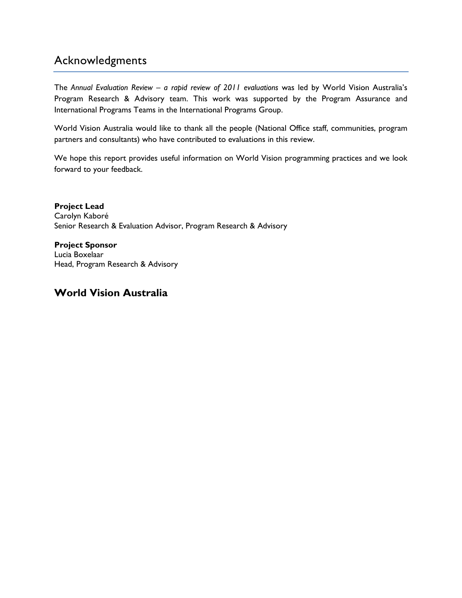# Acknowledgments

The *Annual Evaluation Review – a rapid review of 2011 evaluations* was led by World Vision Australia's Program Research & Advisory team. This work was supported by the Program Assurance and International Programs Teams in the International Programs Group.

World Vision Australia would like to thank all the people (National Office staff, communities, program partners and consultants) who have contributed to evaluations in this review.

We hope this report provides useful information on World Vision programming practices and we look forward to your feedback.

**Project Lead** Carolyn Kaboré Senior Research & Evaluation Advisor, Program Research & Advisory

**Project Sponsor** Lucia Boxelaar Head, Program Research & Advisory

## **World Vision Australia**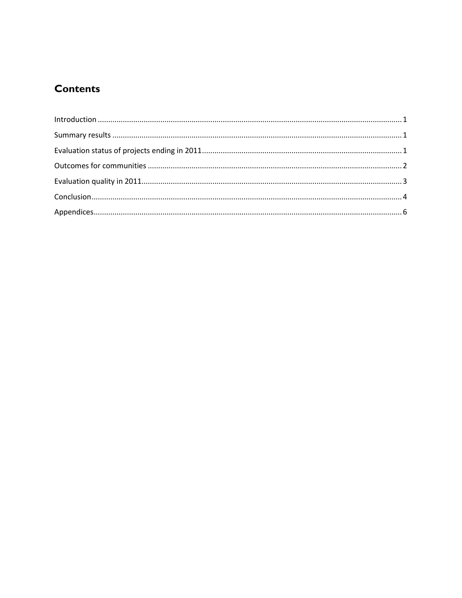# **Contents**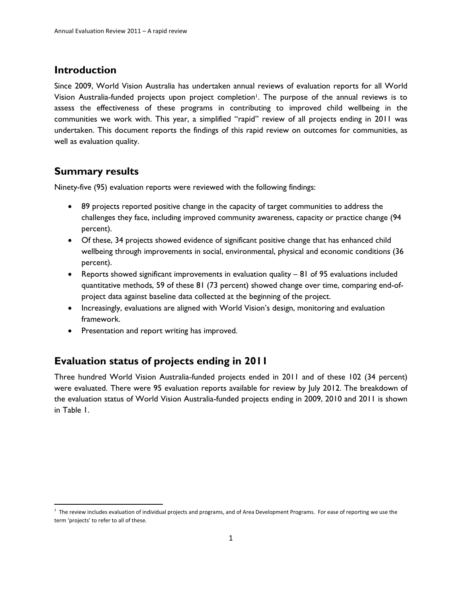#### <span id="page-4-0"></span>**Introduction**

Since 2009, World Vision Australia has undertaken annual reviews of evaluation reports for all World Vision Australia-funded projects upon project completion<sup>1</sup>. The purpose of the annual reviews is to assess the effectiveness of these programs in contributing to improved child wellbeing in the communities we work with. This year, a simplified "rapid" review of all projects ending in 2011 was undertaken. This document reports the findings of this rapid review on outcomes for communities, as well as evaluation quality.

## <span id="page-4-1"></span>**Summary results**

 $\overline{\phantom{a}}$ 

Ninety-five (95) evaluation reports were reviewed with the following findings:

- 89 projects reported positive change in the capacity of target communities to address the challenges they face, including improved community awareness, capacity or practice change (94 percent).
- Of these, 34 projects showed evidence of significant positive change that has enhanced child wellbeing through improvements in social, environmental, physical and economic conditions (36 percent).
- Reports showed significant improvements in evaluation quality 81 of 95 evaluations included quantitative methods, 59 of these 81 (73 percent) showed change over time, comparing end-ofproject data against baseline data collected at the beginning of the project.
- Increasingly, evaluations are aligned with World Vision's design, monitoring and evaluation framework.
- Presentation and report writing has improved.

#### <span id="page-4-2"></span>**Evaluation status of projects ending in 2011**

Three hundred World Vision Australia-funded projects ended in 2011 and of these 102 (34 percent) were evaluated. There were 95 evaluation reports available for review by July 2012. The breakdown of the evaluation status of World Vision Australia-funded projects ending in 2009, 2010 and 2011 is shown in [Table 1.](#page-5-1)

 $1$  The review includes evaluation of individual projects and programs, and of Area Development Programs. For ease of reporting we use the term 'projects' to refer to all of these.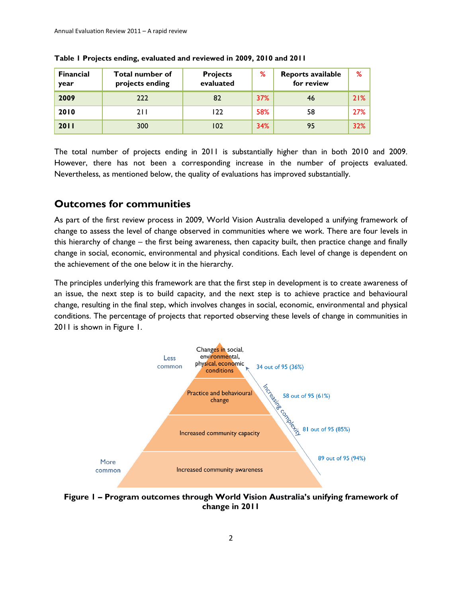| <b>Financial</b><br>year | <b>Total number of</b><br>projects ending | <b>Projects</b><br>evaluated | ℅          | Reports available<br>for review | %   |
|--------------------------|-------------------------------------------|------------------------------|------------|---------------------------------|-----|
| 2009                     | 222                                       | 82                           | <b>37%</b> | 46                              | 21% |
| 2010                     | 211                                       | 122                          | 58%        | 58                              | 27% |
| 2011                     | 300                                       | 102                          | 34%        | 95                              | 32% |

<span id="page-5-1"></span>

| Table I Projects ending, evaluated and reviewed in 2009, 2010 and 2011 |  |  |  |  |  |
|------------------------------------------------------------------------|--|--|--|--|--|
|------------------------------------------------------------------------|--|--|--|--|--|

The total number of projects ending in 2011 is substantially higher than in both 2010 and 2009. However, there has not been a corresponding increase in the number of projects evaluated. Nevertheless, as mentioned below, the quality of evaluations has improved substantially.

#### <span id="page-5-0"></span>**Outcomes for communities**

As part of the first review process in 2009, World Vision Australia developed a unifying framework of change to assess the level of change observed in communities where we work. There are four levels in this hierarchy of change – the first being awareness, then capacity built, then practice change and finally change in social, economic, environmental and physical conditions. Each level of change is dependent on the achievement of the one below it in the hierarchy.

The principles underlying this framework are that the first step in development is to create awareness of an issue, the next step is to build capacity, and the next step is to achieve practice and behavioural change, resulting in the final step, which involves changes in social, economic, environmental and physical conditions. The percentage of projects that reported observing these levels of change in communities in 2011 is shown in [Figure 1.](#page-5-2)



<span id="page-5-2"></span>**Figure 1 – Program outcomes through World Vision Australia's unifying framework of change in 2011**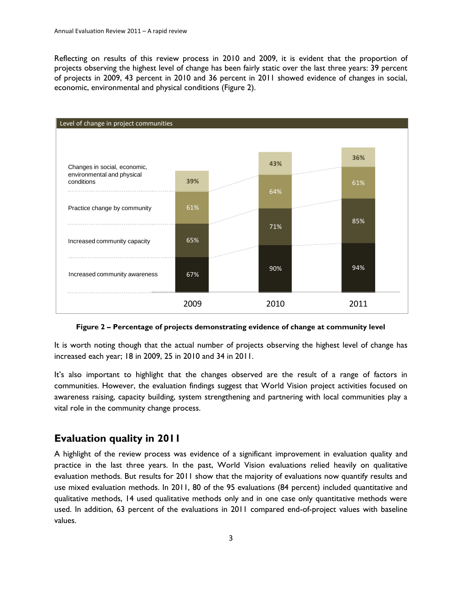Reflecting on results of this review process in 2010 and 2009, it is evident that the proportion of projects observing the highest level of change has been fairly static over the last three years: 39 percent of projects in 2009, 43 percent in 2010 and 36 percent in 2011 showed evidence of changes in social, economic, environmental and physical conditions [\(Figure 2\)](#page-6-1).



**Figure 2 – Percentage of projects demonstrating evidence of change at community level**

<span id="page-6-1"></span>It is worth noting though that the actual number of projects observing the highest level of change has increased each year; 18 in 2009, 25 in 2010 and 34 in 2011.

It's also important to highlight that the changes observed are the result of a range of factors in communities. However, the evaluation findings suggest that World Vision project activities focused on awareness raising, capacity building, system strengthening and partnering with local communities play a vital role in the community change process.

#### <span id="page-6-0"></span>**Evaluation quality in 2011**

A highlight of the review process was evidence of a significant improvement in evaluation quality and practice in the last three years. In the past, World Vision evaluations relied heavily on qualitative evaluation methods. But results for 2011 show that the majority of evaluations now quantify results and use mixed evaluation methods. In 2011, 80 of the 95 evaluations (84 percent) included quantitative and qualitative methods, 14 used qualitative methods only and in one case only quantitative methods were used. In addition, 63 percent of the evaluations in 2011 compared end-of-project values with baseline values.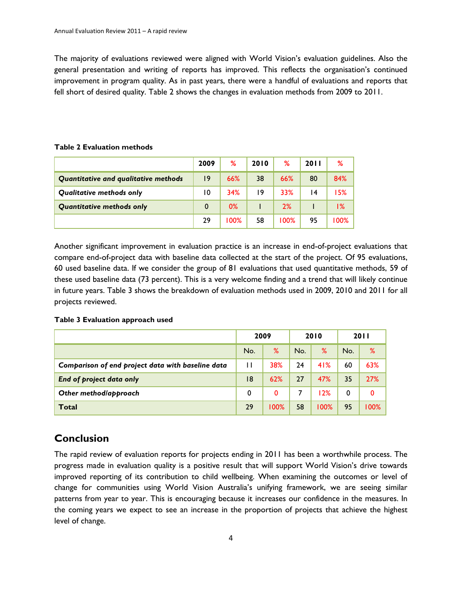The majority of evaluations reviewed were aligned with World Vision's evaluation guidelines. Also the general presentation and writing of reports has improved. This reflects the organisation's continued improvement in program quality. As in past years, there were a handful of evaluations and reports that fell short of desired quality. [Table 2](#page-7-1) shows the changes in evaluation methods from 2009 to 2011.

#### <span id="page-7-1"></span>**Table 2 Evaluation methods**

|                                      | 2009 | ℅    | 2010 | %    | <b>2011</b> | ℅      |
|--------------------------------------|------|------|------|------|-------------|--------|
| Quantitative and qualitative methods | 9    | 66%  | 38   | 66%  | 80          | 84%    |
| Qualitative methods only             | 10   | 34%  | 19   | 33%  | 14          | 15%    |
| <b>Quantitative methods only</b>     | 0    | 0%   |      | 2%   |             | $1\%$  |
|                                      | 29   | 100% | 58   | 100% | 95          | $00\%$ |

Another significant improvement in evaluation practice is an increase in end-of-project evaluations that compare end-of-project data with baseline data collected at the start of the project. Of 95 evaluations, 60 used baseline data. If we consider the group of 81 evaluations that used quantitative methods, 59 of these used baseline data (73 percent). This is a very welcome finding and a trend that will likely continue in future years. [Table 3](#page-7-2) shows the breakdown of evaluation methods used in 2009, 2010 and 2011 for all projects reviewed.

#### <span id="page-7-2"></span>**Table 3 Evaluation approach used**

|                                                   |              | 2009 |     | 2010 |     | <b>2011</b> |
|---------------------------------------------------|--------------|------|-----|------|-----|-------------|
|                                                   | No.          | $\%$ | No. | ℅    | No. | %           |
| Comparison of end project data with baseline data | $\mathsf{H}$ | 38%  | 24  | 41%  | 60  | 63%         |
| End of project data only                          | 8            | 62%  | 27  | 47%  | 35  | 27%         |
| Other method/approach                             | 0            | 0    |     | 12%  | 0   | 0           |
| <b>Total</b>                                      | 29           | 100% | 58  | 100% | 95  | 100%        |

#### <span id="page-7-0"></span>**Conclusion**

The rapid review of evaluation reports for projects ending in 2011 has been a worthwhile process. The progress made in evaluation quality is a positive result that will support World Vision's drive towards improved reporting of its contribution to child wellbeing. When examining the outcomes or level of change for communities using World Vision Australia's unifying framework, we are seeing similar patterns from year to year. This is encouraging because it increases our confidence in the measures. In the coming years we expect to see an increase in the proportion of projects that achieve the highest level of change.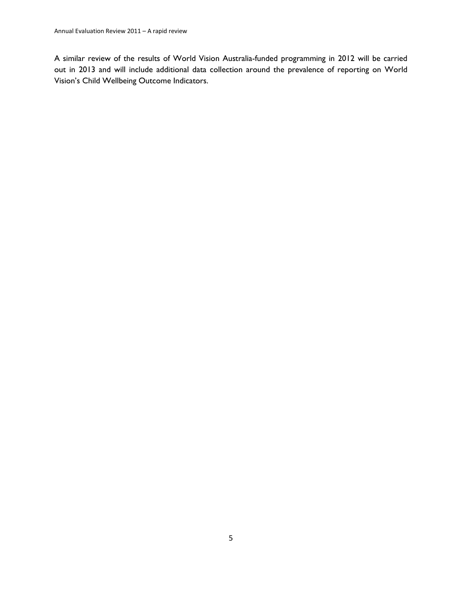A similar review of the results of World Vision Australia-funded programming in 2012 will be carried out in 2013 and will include additional data collection around the prevalence of reporting on World Vision's Child Wellbeing Outcome Indicators.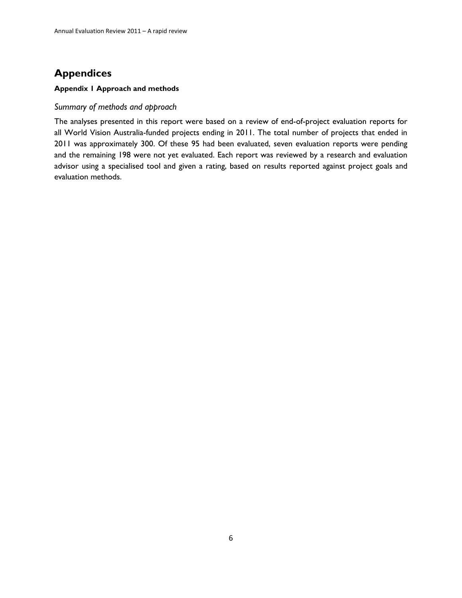# <span id="page-9-0"></span>**Appendices**

#### **Appendix 1 Approach and methods**

#### *Summary of methods and approach*

The analyses presented in this report were based on a review of end-of-project evaluation reports for all World Vision Australia-funded projects ending in 2011. The total number of projects that ended in 2011 was approximately 300. Of these 95 had been evaluated, seven evaluation reports were pending and the remaining 198 were not yet evaluated. Each report was reviewed by a research and evaluation advisor using a specialised tool and given a rating, based on results reported against project goals and evaluation methods.